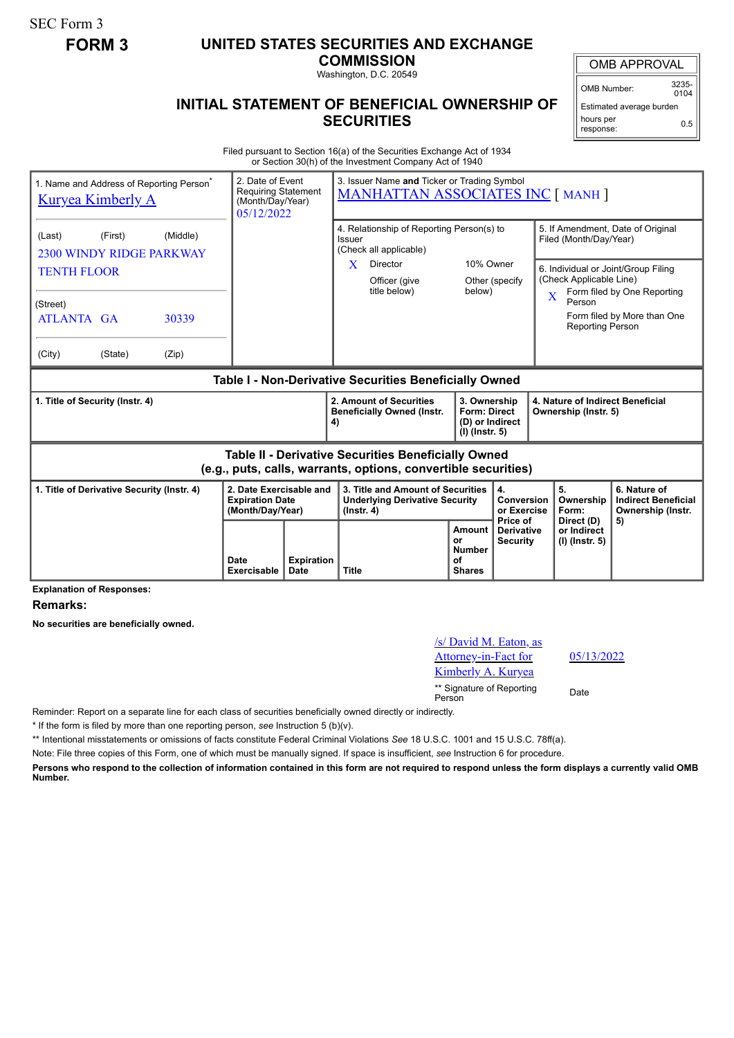SEC Form 3

## **FORM 3 UNITED STATES SECURITIES AND EXCHANGE**

**COMMISSION**

Washington, D.C. 20549

## **INITIAL STATEMENT OF BENEFICIAL OWNERSHIP OF SECURITIES**

OMB APPROVAL OMB Number: 3235-  $0104$ 

Estimated average burden hours per response: 0.5

Filed pursuant to Section 16(a) of the Securities Exchange Act of 1934 or Section 30(h) of the Investment Company Act of 1940

| 1. Name and Address of Reporting Person <sup>®</sup><br><b>Kuryea Kimberly A</b>                                      |         | 3. Issuer Name and Ticker or Trading Symbol<br>2. Date of Event<br><b>Requiring Statement</b><br><b>MANHATTAN ASSOCIATES INC [ MANH ]</b><br>(Month/Day/Year)<br>05/12/2022 |                                                                       |                                                                                                                                 |                                                                                                |                     |                                                                                                          |                                                                                                                                                                                |                                        |                                                                 |
|-----------------------------------------------------------------------------------------------------------------------|---------|-----------------------------------------------------------------------------------------------------------------------------------------------------------------------------|-----------------------------------------------------------------------|---------------------------------------------------------------------------------------------------------------------------------|------------------------------------------------------------------------------------------------|---------------------|----------------------------------------------------------------------------------------------------------|--------------------------------------------------------------------------------------------------------------------------------------------------------------------------------|----------------------------------------|-----------------------------------------------------------------|
| (First)<br>(Middle)<br>(Last)<br>2300 WINDY RIDGE PARKWAY<br><b>TENTH FLOOR</b>                                       |         |                                                                                                                                                                             |                                                                       | 4. Relationship of Reporting Person(s) to<br>Issuer<br>(Check all applicable)<br>X<br>Director<br>Officer (give<br>title below) |                                                                                                | 10% Owner<br>below) | Other (specify                                                                                           | 5. If Amendment, Date of Original<br>Filed (Month/Day/Year)<br>6. Individual or Joint/Group Filing<br>(Check Applicable Line)<br>Form filed by One Reporting<br>$\overline{X}$ |                                        |                                                                 |
| (Street)<br><b>ATLANTA GA</b>                                                                                         |         | 30339                                                                                                                                                                       |                                                                       |                                                                                                                                 |                                                                                                |                     |                                                                                                          |                                                                                                                                                                                | Person<br><b>Reporting Person</b>      | Form filed by More than One                                     |
| (City)                                                                                                                | (State) | (Zip)                                                                                                                                                                       |                                                                       |                                                                                                                                 |                                                                                                |                     |                                                                                                          |                                                                                                                                                                                |                                        |                                                                 |
| Table I - Non-Derivative Securities Beneficially Owned                                                                |         |                                                                                                                                                                             |                                                                       |                                                                                                                                 |                                                                                                |                     |                                                                                                          |                                                                                                                                                                                |                                        |                                                                 |
| 1. Title of Security (Instr. 4)                                                                                       |         |                                                                                                                                                                             | 4)                                                                    | 2. Amount of Securities<br><b>Beneficially Owned (Instr.</b>                                                                    | 3. Ownership<br><b>Form: Direct</b><br>(D) or Indirect<br>(I) (Instr. 5)                       |                     | 4. Nature of Indirect Beneficial<br>Ownership (Instr. 5)                                                 |                                                                                                                                                                                |                                        |                                                                 |
| Table II - Derivative Securities Beneficially Owned<br>(e.g., puts, calls, warrants, options, convertible securities) |         |                                                                                                                                                                             |                                                                       |                                                                                                                                 |                                                                                                |                     |                                                                                                          |                                                                                                                                                                                |                                        |                                                                 |
| 1. Title of Derivative Security (Instr. 4)                                                                            |         |                                                                                                                                                                             | 2. Date Exercisable and<br><b>Expiration Date</b><br>(Month/Day/Year) |                                                                                                                                 | 3. Title and Amount of Securities<br><b>Underlying Derivative Security</b><br>$($ lnstr. 4 $)$ |                     |                                                                                                          | 4.<br>Conversion<br>or Exercise                                                                                                                                                | 5.<br>Ownership<br>Form:<br>Direct (D) | 6. Nature of<br><b>Indirect Beneficial</b><br>Ownership (Instr. |
|                                                                                                                       |         |                                                                                                                                                                             | Date<br>Exercisable                                                   | <b>Expiration</b><br>Date                                                                                                       | <b>Title</b>                                                                                   |                     | Price of<br>Amount<br><b>Derivative</b><br>or<br><b>Security</b><br><b>Number</b><br>Ωf<br><b>Shares</b> |                                                                                                                                                                                | or Indirect<br>(I) (Instr. 5)          | 5)                                                              |

**Explanation of Responses:**

**Remarks:**

**No securities are beneficially owned.**

## /s/ David M. Eaton, as Attorney-in-Fact for Kimberly A. Kuryea \*\* Signature of Reporting Person Date

05/13/2022

Reminder: Report on a separate line for each class of securities beneficially owned directly or indirectly.

\* If the form is filed by more than one reporting person, *see* Instruction 5 (b)(v).

\*\* Intentional misstatements or omissions of facts constitute Federal Criminal Violations *See* 18 U.S.C. 1001 and 15 U.S.C. 78ff(a).

Note: File three copies of this Form, one of which must be manually signed. If space is insufficient, *see* Instruction 6 for procedure.

**Persons who respond to the collection of information contained in this form are not required to respond unless the form displays a currently valid OMB Number.**